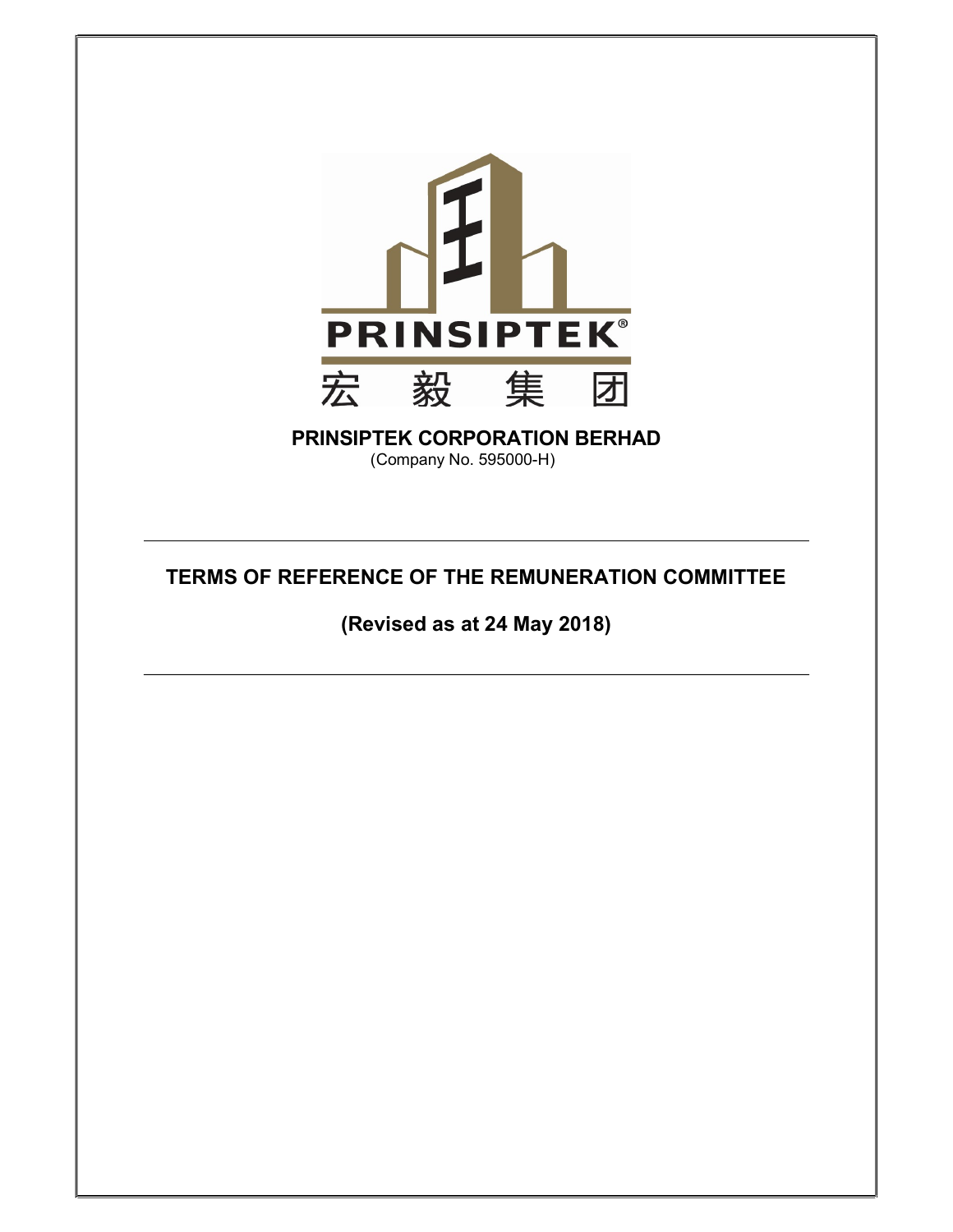

# PRINSIPTEK CORPORATION BERHAD

(Company No. 595000-H)

# TERMS OF REFERENCE OF THE REMUNERATION COMMITTEE

(Revised as at 24 May 2018)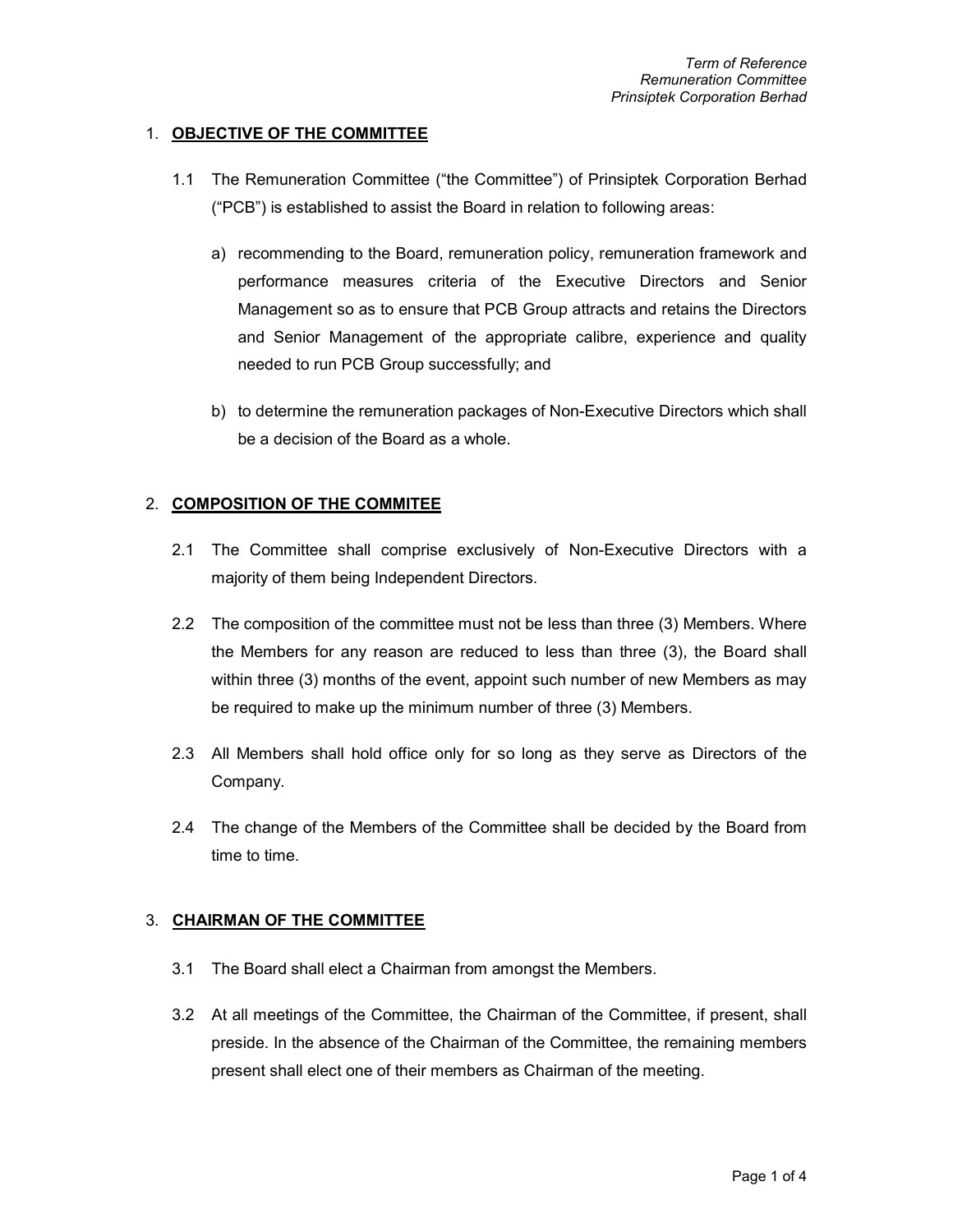### 1. OBJECTIVE OF THE COMMITTEE

- 1.1 The Remuneration Committee ("the Committee") of Prinsiptek Corporation Berhad ("PCB") is established to assist the Board in relation to following areas:
	- a) recommending to the Board, remuneration policy, remuneration framework and performance measures criteria of the Executive Directors and Senior Management so as to ensure that PCB Group attracts and retains the Directors and Senior Management of the appropriate calibre, experience and quality needed to run PCB Group successfully; and
	- b) to determine the remuneration packages of Non-Executive Directors which shall be a decision of the Board as a whole.

#### 2. COMPOSITION OF THE COMMITEE

- 2.1 The Committee shall comprise exclusively of Non-Executive Directors with a majority of them being Independent Directors.
- 2.2 The composition of the committee must not be less than three (3) Members. Where the Members for any reason are reduced to less than three (3), the Board shall within three (3) months of the event, appoint such number of new Members as may be required to make up the minimum number of three (3) Members.
- 2.3 All Members shall hold office only for so long as they serve as Directors of the Company.
- 2.4 The change of the Members of the Committee shall be decided by the Board from time to time.

#### 3. CHAIRMAN OF THE COMMITTEE

- 3.1 The Board shall elect a Chairman from amongst the Members.
- 3.2 At all meetings of the Committee, the Chairman of the Committee, if present, shall preside. In the absence of the Chairman of the Committee, the remaining members present shall elect one of their members as Chairman of the meeting.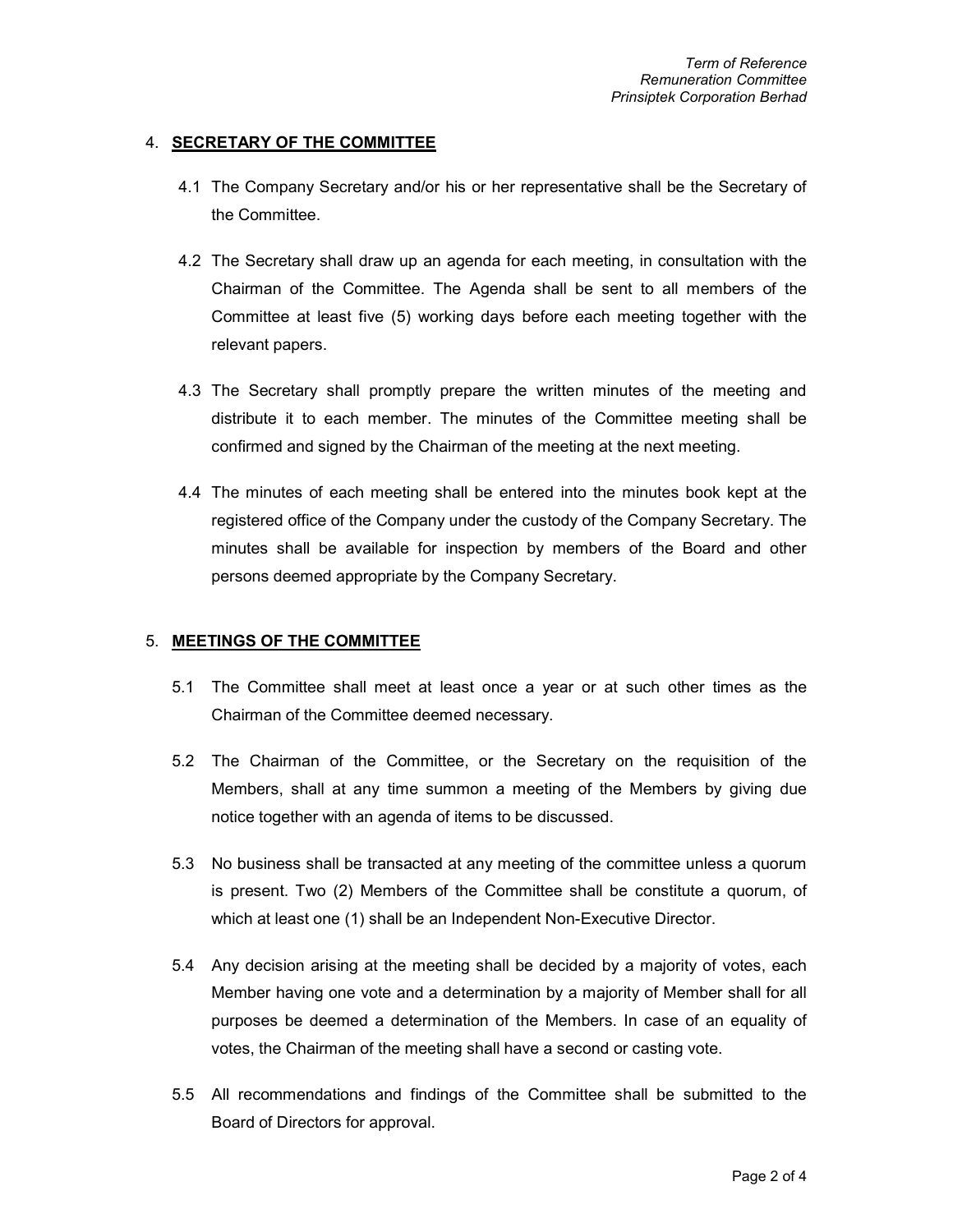#### 4. SECRETARY OF THE COMMITTEE

- 4.1 The Company Secretary and/or his or her representative shall be the Secretary of the Committee.
- 4.2 The Secretary shall draw up an agenda for each meeting, in consultation with the Chairman of the Committee. The Agenda shall be sent to all members of the Committee at least five (5) working days before each meeting together with the relevant papers.
- 4.3 The Secretary shall promptly prepare the written minutes of the meeting and distribute it to each member. The minutes of the Committee meeting shall be confirmed and signed by the Chairman of the meeting at the next meeting.
- 4.4 The minutes of each meeting shall be entered into the minutes book kept at the registered office of the Company under the custody of the Company Secretary. The minutes shall be available for inspection by members of the Board and other persons deemed appropriate by the Company Secretary.

#### 5. MEETINGS OF THE COMMITTEE

- 5.1 The Committee shall meet at least once a year or at such other times as the Chairman of the Committee deemed necessary.
- 5.2 The Chairman of the Committee, or the Secretary on the requisition of the Members, shall at any time summon a meeting of the Members by giving due notice together with an agenda of items to be discussed.
- 5.3 No business shall be transacted at any meeting of the committee unless a quorum is present. Two (2) Members of the Committee shall be constitute a quorum, of which at least one (1) shall be an Independent Non-Executive Director.
- 5.4 Any decision arising at the meeting shall be decided by a majority of votes, each Member having one vote and a determination by a majority of Member shall for all purposes be deemed a determination of the Members. In case of an equality of votes, the Chairman of the meeting shall have a second or casting vote.
- 5.5 All recommendations and findings of the Committee shall be submitted to the Board of Directors for approval.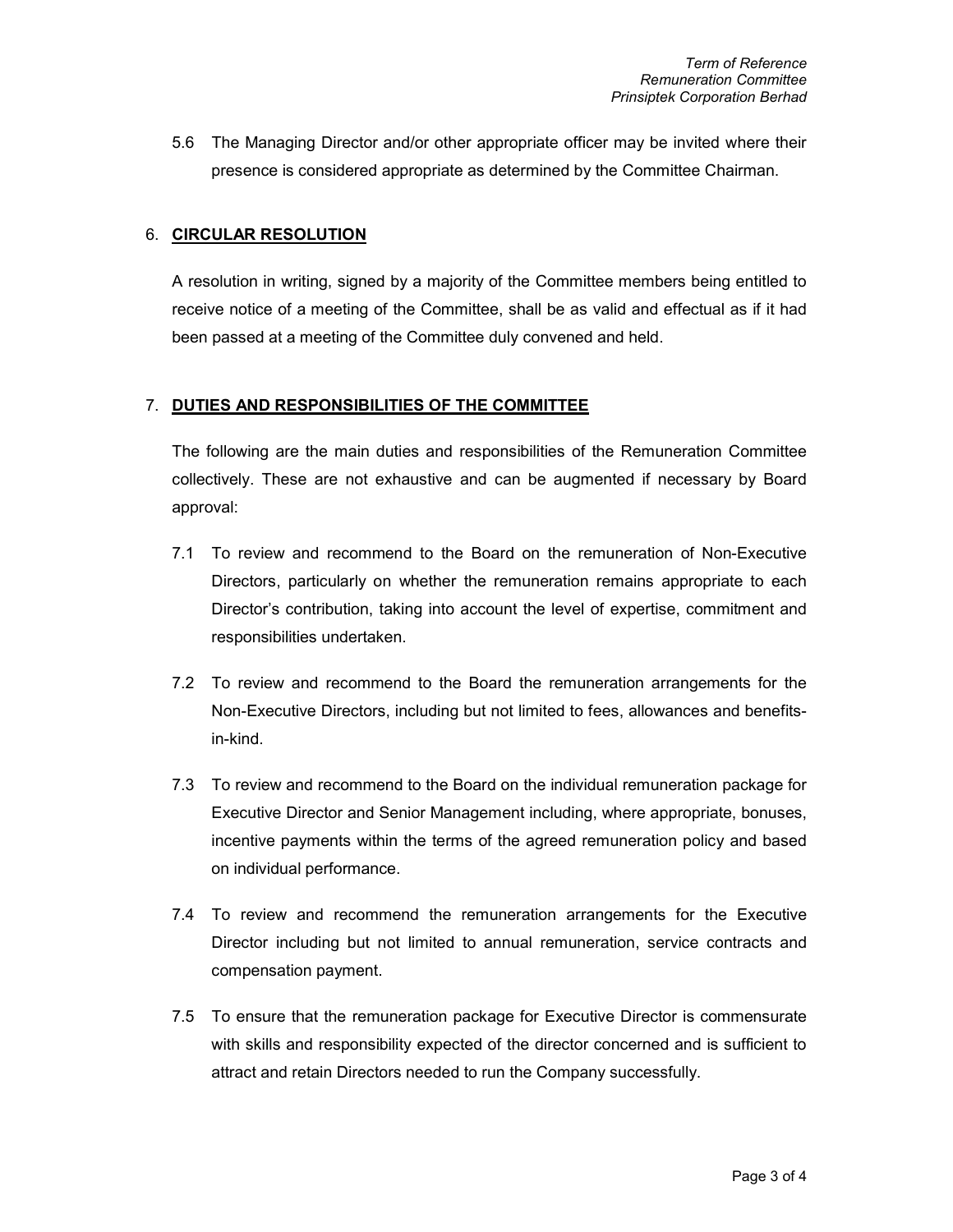5.6 The Managing Director and/or other appropriate officer may be invited where their presence is considered appropriate as determined by the Committee Chairman.

## 6. CIRCULAR RESOLUTION

A resolution in writing, signed by a majority of the Committee members being entitled to receive notice of a meeting of the Committee, shall be as valid and effectual as if it had been passed at a meeting of the Committee duly convened and held.

# 7. DUTIES AND RESPONSIBILITIES OF THE COMMITTEE

The following are the main duties and responsibilities of the Remuneration Committee collectively. These are not exhaustive and can be augmented if necessary by Board approval:

- 7.1 To review and recommend to the Board on the remuneration of Non-Executive Directors, particularly on whether the remuneration remains appropriate to each Director's contribution, taking into account the level of expertise, commitment and responsibilities undertaken.
- 7.2 To review and recommend to the Board the remuneration arrangements for the Non-Executive Directors, including but not limited to fees, allowances and benefitsin-kind.
- 7.3 To review and recommend to the Board on the individual remuneration package for Executive Director and Senior Management including, where appropriate, bonuses, incentive payments within the terms of the agreed remuneration policy and based on individual performance.
- 7.4 To review and recommend the remuneration arrangements for the Executive Director including but not limited to annual remuneration, service contracts and compensation payment.
- 7.5 To ensure that the remuneration package for Executive Director is commensurate with skills and responsibility expected of the director concerned and is sufficient to attract and retain Directors needed to run the Company successfully.